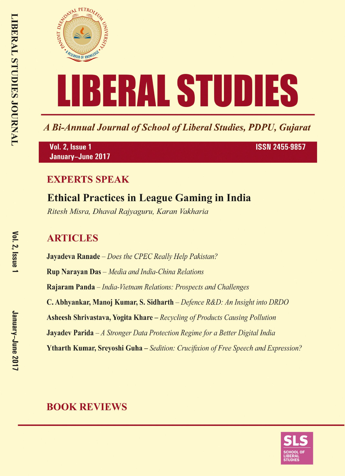

A Bi-Annual Journal of School of Liberal Studies, PDPU, Gujarat

Vol. 2, Issue 1 January-June 2017 **ISSN 2455-9857** 

## **EXPERTS SPEAK**

## **Ethical Practices in League Gaming in India**

Ritesh Misra, Dhaval Rajyaguru, Karan Vakharia

## **ARTICLES**

**Jayadeva Ranade** – Does the CPEC Really Help Pakistan? **Rup Narayan Das** - Media and India-China Relations Rajaram Panda - India-Vietnam Relations: Prospects and Challenges C. Abhyankar, Manoj Kumar, S. Sidharth – Defence R&D: An Insight into DRDO **Asheesh Shrivastava, Yogita Khare** – Recycling of Products Causing Pollution **Jayadev Parida**  $-A$  Stronger Data Protection Regime for a Better Digital India **Ytharth Kumar, Srevoshi Guha** – Sedition: Crucifixion of Free Speech and Expression?

## **BOOK REVIEWS**

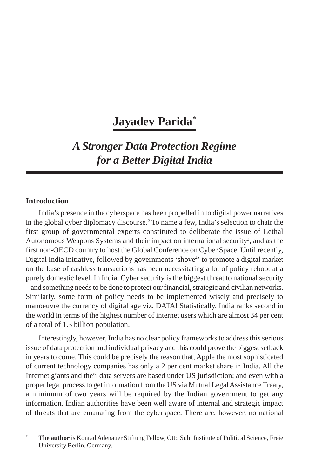# **Jayadev Parida\***

## *A Stronger Data Protection Regime for a Better Digital India*

### **Introduction**

India's presence in the cyberspace has been propelled in to digital power narratives in the global cyber diplomacy discourse.2 To name a few, India's selection to chair the first group of governmental experts constituted to deliberate the issue of Lethal Autonomous Weapons Systems and their impact on international security<sup>3</sup>, and as the first non-OECD country to host the Global Conference on Cyber Space. Until recently, Digital India initiative, followed by governments 'shove<sup>4</sup>' to promote a digital market on the base of cashless transactions has been necessitating a lot of policy reboot at a purely domestic level. In India, Cyber security is the biggest threat to national security – and something needs to be done to protect our financial, strategic and civilian networks. Similarly, some form of policy needs to be implemented wisely and precisely to manoeuvre the currency of digital age viz. DATA! Statistically, India ranks second in the world in terms of the highest number of internet users which are almost 34 per cent of a total of 1.3 billion population.

Interestingly, however, India has no clear policy frameworks to address this serious issue of data protection and individual privacy and this could prove the biggest setback in years to come. This could be precisely the reason that, Apple the most sophisticated of current technology companies has only a 2 per cent market share in India. All the Internet giants and their data servers are based under US jurisdiction; and even with a proper legal process to get information from the US via Mutual Legal Assistance Treaty, a minimum of two years will be required by the Indian government to get any information. Indian authorities have been well aware of internal and strategic impact of threats that are emanating from the cyberspace. There are, however, no national

<sup>\*</sup> **The author** is Konrad Adenauer Stiftung Fellow, Otto Suhr Institute of Political Science, Freie University Berlin, Germany.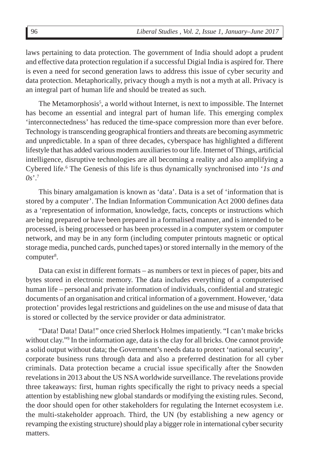laws pertaining to data protection. The government of India should adopt a prudent and effective data protection regulation if a successful Digial India is aspired for. There is even a need for second generation laws to address this issue of cyber security and data protection. Metaphorically, privacy though a myth is not a myth at all. Privacy is an integral part of human life and should be treated as such.

The Metamorphosis<sup>5</sup>, a world without Internet, is next to impossible. The Internet has become an essential and integral part of human life. This emerging complex 'interconnectedness' has reduced the time-space compression more than ever before. Technology is transcending geographical frontiers and threats are becoming asymmetric and unpredictable. In a span of three decades, cyberspace has highlighted a different lifestyle that has added various modern auxiliaries to our life. Internet of Things, artificial intelligence, disruptive technologies are all becoming a reality and also amplifying a Cybered life.<sup>6</sup> The Genesis of this life is thus dynamically synchronised into '*ls and*  $0s$ <sup>2</sup>

This binary amalgamation is known as 'data'. Data is a set of 'information that is stored by a computer'. The Indian Information Communication Act 2000 defines data as a 'representation of information, knowledge, facts, concepts or instructions which are being prepared or have been prepared in a formalised manner, and is intended to be processed, is being processed or has been processed in a computer system or computer network, and may be in any form (including computer printouts magnetic or optical storage media, punched cards, punched tapes) or stored internally in the memory of the computer<sup>8</sup>.

Data can exist in different formats – as numbers or text in pieces of paper, bits and bytes stored in electronic memory. The data includes everything of a computerised human life – personal and private information of individuals, confidential and strategic documents of an organisation and critical information of a government. However, 'data protection' provides legal restrictions and guidelines on the use and misuse of data that is stored or collected by the service provider or data administrator.

"Data! Data! Data!" once cried Sherlock Holmes impatiently. "I can't make bricks without clay."<sup>9</sup> In the information age, data is the clay for all bricks. One cannot provide a solid output without data; the Government's needs data to protect 'national security', corporate business runs through data and also a preferred destination for all cyber criminals. Data protection became a crucial issue specifically after the Snowden revelations in 2013 about the US NSA worldwide surveillance. The revelations provide three takeaways: first, human rights specifically the right to privacy needs a special attention by establishing new global standards or modifying the existing rules. Second, the door should open for other stakeholders for regulating the Internet ecosystem i.e. the multi-stakeholder approach. Third, the UN (by establishing a new agency or revamping the existing structure) should play a bigger role in international cyber security matters.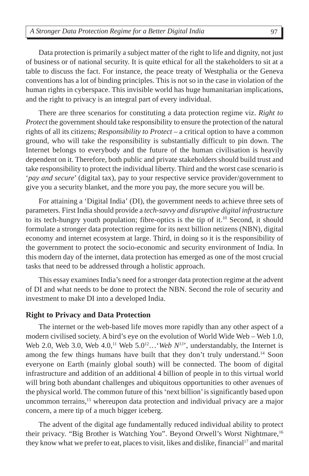Data protection is primarily a subject matter of the right to life and dignity, not just of business or of national security. It is quite ethical for all the stakeholders to sit at a table to discuss the fact. For instance, the peace treaty of Westphalia or the Geneva conventions has a lot of binding principles. This is not so in the case in violation of the human rights in cyberspace. This invisible world has huge humanitarian implications, and the right to privacy is an integral part of every individual.

There are three scenarios for constituting a data protection regime viz. *Right to Protect* the government should take responsibility to ensure the protection of the natural rights of all its citizens; *Responsibility to Protect* – a critical option to have a common ground, who will take the responsibility is substantially difficult to pin down. The Internet belongs to everybody and the future of the human civilisation is heavily dependent on it. Therefore, both public and private stakeholders should build trust and take responsibility to protect the individual liberty. Third and the worst case scenario is '*pay and secure*' (digital tax), pay to your respective service provider/government to give you a security blanket, and the more you pay, the more secure you will be.

For attaining a 'Digital India' (DI), the government needs to achieve three sets of parameters. First India should provide a *tech-savvy and disruptive digital infrastructure* to its tech-hungry youth population; fibre-optics is the tip of it.<sup>10</sup> Second, it should formulate a stronger data protection regime for its next billion netizens (NBN), digital economy and internet ecosystem at large. Third, in doing so it is the responsibility of the government to protect the socio-economic and security environment of India. In this modern day of the internet, data protection has emerged as one of the most crucial tasks that need to be addressed through a holistic approach.

This essay examines India's need for a stronger data protection regime at the advent of DI and what needs to be done to protect the NBN. Second the role of security and investment to make DI into a developed India.

#### **Right to Privacy and Data Protection**

The internet or the web-based life moves more rapidly than any other aspect of a modern civilised society. A bird's eye on the evolution of World Wide Web – Web 1.0, Web 2.0, Web 3.0, Web  $4.0$ ,<sup>11</sup> Web  $5.0$ <sup>12</sup>... *'Web N<sup>13</sup>'*, understandably, the Internet is among the few things humans have built that they don't truly understand.<sup>14</sup> Soon everyone on Earth (mainly global south) will be connected. The boom of digital infrastructure and addition of an additional 4 billion of people in to this virtual world will bring both abundant challenges and ubiquitous opportunities to other avenues of the physical world. The common future of this 'next billion' is significantly based upon uncommon terrains,15 whereupon data protection and individual privacy are a major concern, a mere tip of a much bigger iceberg.

The advent of the digital age fundamentally reduced individual ability to protect their privacy. "Big Brother is Watching You". Beyond Orwell's Worst Nightmare,<sup>16</sup> they know what we prefer to eat, places to visit, likes and dislike, financial<sup>17</sup> and marital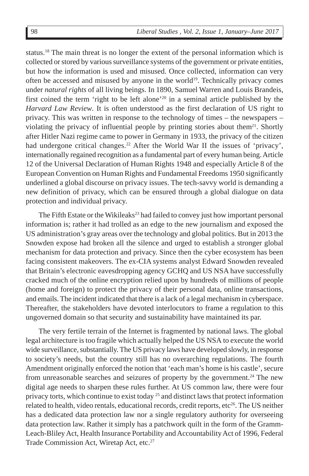status.18 The main threat is no longer the extent of the personal information which is collected or stored by various surveillance systems of the government or private entities, but how the information is used and misused. Once collected, information can very often be accessed and misused by anyone in the world<sup>19</sup>. Technically privacy comes under *natural rights* of all living beings. In 1890, Samuel Warren and Louis Brandeis, first coined the term 'right to be left alone'<sup>20</sup> in a seminal article published by the *Harvard Law Review*. It is often understood as the first declaration of US right to privacy. This was written in response to the technology of times – the newspapers – violating the privacy of influential people by printing stories about them $^{21}$ . Shortly after Hitler Nazi regime came to power in Germany in 1933, the privacy of the citizen had undergone critical changes.<sup>22</sup> After the World War II the issues of 'privacy', internationally regained recognition as a fundamental part of every human being. Article 12 of the Universal Declaration of Human Rights 1948 and especially Article 8 of the European Convention on Human Rights and Fundamental Freedoms 1950 significantly underlined a global discourse on privacy issues. The tech-savvy world is demanding a new definition of privacy, which can be ensured through a global dialogue on data protection and individual privacy.

The Fifth Estate or the Wikileaks<sup>23</sup> had failed to convey just how important personal information is; rather it had trolled as an edge to the new journalism and exposed the US administration's gray areas over the technology and global politics. But in 2013 the Snowden expose had broken all the silence and urged to establish a stronger global mechanism for data protection and privacy. Since then the cyber ecosystem has been facing consistent makeovers. The ex-CIA systems analyst Edward Snowden revealed that Britain's electronic eavesdropping agency GCHQ and US NSA have successfully cracked much of the online encryption relied upon by hundreds of millions of people (home and foreign) to protect the privacy of their personal data, online transactions, and emails. The incident indicated that there is a lack of a legal mechanism in cyberspace. Thereafter, the stakeholders have devoted interlocutors to frame a regulation to this ungoverned domain so that security and sustainability have maintained its par.

The very fertile terrain of the Internet is fragmented by national laws. The global legal architecture is too fragile which actually helped the US NSA to execute the world wide surveillance, substantially. The US privacy laws have developed slowly, in response to society's needs, but the country still has no overarching regulations. The fourth Amendment originally enforced the notion that 'each man's home is his castle', secure from unreasonable searches and seizures of property by the government.<sup>24</sup> The new digital age needs to sharpen these rules further. At US common law, there were four privacy torts, which continue to exist today  $^{25}$  and distinct laws that protect information related to health, video rentals, educational records, credit reports,  $etc<sup>26</sup>$ . The US neither has a dedicated data protection law nor a single regulatory authority for overseeing data protection law. Rather it simply has a patchwork quilt in the form of the Gramm-Leach-Bliley Act, Health Insurance Portability and Accountability Act of 1996, Federal Trade Commission Act, Wiretap Act, etc.<sup>27</sup>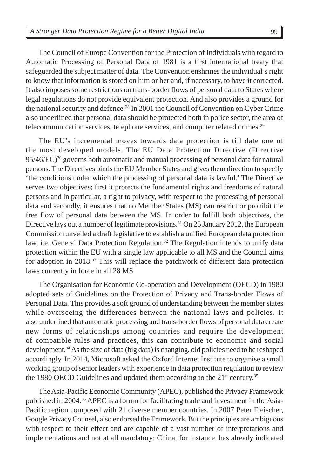The Council of Europe Convention for the Protection of Individuals with regard to Automatic Processing of Personal Data of 1981 is a first international treaty that safeguarded the subject matter of data. The Convention enshrines the individual's right to know that information is stored on him or her and, if necessary, to have it corrected. It also imposes some restrictions on trans-border flows of personal data to States where legal regulations do not provide equivalent protection. And also provides a ground for the national security and defence.<sup>28</sup> In 2001 the Council of Convention on Cyber Crime also underlined that personal data should be protected both in police sector, the area of telecommunication services, telephone services, and computer related crimes.<sup>29</sup>

The EU's incremental moves towards data protection is till date one of the most developed models. The EU Data Protection Directive (Directive 95/46/EC)30 governs both automatic and manual processing of personal data for natural persons. The Directives binds the EU Member States and gives them direction to specify 'the conditions under which the processing of personal data is lawful.' The Directive serves two objectives; first it protects the fundamental rights and freedoms of natural persons and in particular, a right to privacy, with respect to the processing of personal data and secondly, it ensures that no Member States (MS) can restrict or prohibit the free flow of personal data between the MS. In order to fulfill both objectives, the Directive lays out a number of legitimate provisions.<sup>31</sup> On 25 January 2012, the European Commission unveiled a draft legislative to establish a unified European data protection law, i.e. General Data Protection Regulation.<sup>32</sup> The Regulation intends to unify data protection within the EU with a single law applicable to all MS and the Council aims for adoption in 2018.33 This will replace the patchwork of different data protection laws currently in force in all 28 MS.

The Organisation for Economic Co-operation and Development (OECD) in 1980 adopted sets of Guidelines on the Protection of Privacy and Trans-border Flows of Personal Data. This provides a soft ground of understanding between the member states while overseeing the differences between the national laws and policies. It also underlined that automatic processing and trans-border flows of personal data create new forms of relationships among countries and require the development of compatible rules and practices, this can contribute to economic and social development.34 As the size of data (big data) is changing, old policies need to be reshaped accordingly. In 2014, Microsoft asked the Oxford Internet Institute to organise a small working group of senior leaders with experience in data protection regulation to review the 1980 OECD Guidelines and updated them according to the  $21<sup>st</sup>$  century.<sup>35</sup>

The Asia-Pacific Economic Community (APEC), published the Privacy Framework published in 2004.36 APEC is a forum for facilitating trade and investment in the Asia-Pacific region composed with 21 diverse member countries. In 2007 Peter Fleischer, Google Privacy Counsel, also endorsed the Framework. But the principles are ambiguous with respect to their effect and are capable of a vast number of interpretations and implementations and not at all mandatory; China, for instance, has already indicated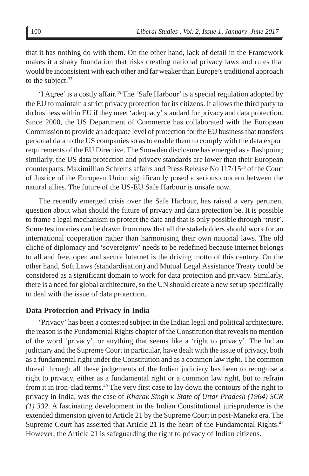that it has nothing do with them. On the other hand, lack of detail in the Framework makes it a shaky foundation that risks creating national privacy laws and rules that would be inconsistent with each other and far weaker than Europe's traditional approach to the subject. $37$ 

'I Agree' is a costly affair.38 The 'Safe Harbour' is a special regulation adopted by the EU to maintain a strict privacy protection for its citizens. It allows the third party to do business within EU if they meet 'adequacy' standard for privacy and data protection. Since 2000, the US Department of Commerce has collaborated with the European Commission to provide an adequate level of protection for the EU business that transfers personal data to the US companies so as to enable them to comply with the data export requirements of the EU Directive. The Snowden disclosure has emerged as a flashpoint; similarly, the US data protection and privacy standards are lower than their European counterparts. Maximillian Schrems affairs and Press Release No 117/1539 of the Court of Justice of the European Union significantly posed a serious concern between the natural allies. The future of the US-EU Safe Harbour is unsafe now.

The recently emerged crisis over the Safe Harbour, has raised a very pertinent question about what should the future of privacy and data protection be. It is possible to frame a legal mechanism to protect the data and that is only possible through 'trust'. Some testimonies can be drawn from now that all the stakeholders should work for an international cooperation rather than harmonising their own national laws. The old cliché of diplomacy and 'sovereignty' needs to be redefined because internet belongs to all and free, open and secure Internet is the driving motto of this century. On the other hand, Soft Laws (standardisation) and Mutual Legal Assistance Treaty could be considered as a significant domain to work for data protection and privacy. Similarly, there is a need for global architecture, so the UN should create a new set up specifically to deal with the issue of data protection.

#### **Data Protection and Privacy in India**

'Privacy' has been a contested subject in the Indian legal and political architecture, the reason is the Fundamental Rights chapter of the Constitution that reveals no mention of the word 'privacy', or anything that seems like a 'right to privacy'. The Indian judiciary and the Supreme Court in particular, have dealt with the issue of privacy, both as a fundamental right under the Constitution and as a common law right. The common thread through all these judgements of the Indian judiciary has been to recognise a right to privacy, either as a fundamental right or a common law right, but to refrain from it in iron-clad terms.<sup>40</sup> The very first case to lay down the contours of the right to privacy in India, was the case of *Kharak Singh v. State of Uttar Pradesh (1964) SCR (1) 332*. A fascinating development in the Indian Constitutional jurisprudence is the extended dimension given to Article 21 by the Supreme Court in post-Maneka era. The Supreme Court has asserted that Article 21 is the heart of the Fundamental Rights.<sup>41</sup> However, the Article 21 is safeguarding the right to privacy of Indian citizens.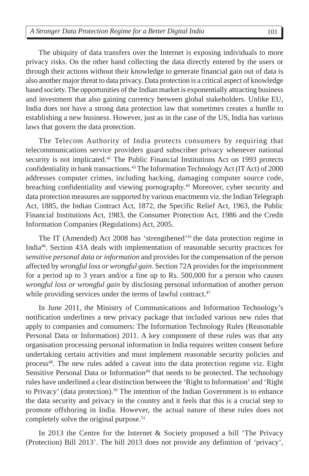The ubiquity of data transfers over the Internet is exposing individuals to more privacy risks. On the other hand collecting the data directly entered by the users or through their actions without their knowledge to generate financial gain out of data is also another major threat to data privacy. Data protection is a critical aspect of knowledge based society. The opportunities of the Indian market is exponentially attracting business and investment that also gaining currency between global stakeholders. Unlike EU, India does not have a strong data protection law that sometimes creates a hurdle to establishing a new business. However, just as in the case of the US, India has various laws that govern the data protection.

The Telecom Authority of India protects consumers by requiring that telecommunications service providers guard subscriber privacy whenever national security is not implicated.<sup>42</sup> The Public Financial Institutions Act on 1993 protects confidentiality in bank transactions.<sup>43</sup> The Information Technology Act (IT Act) of 2000 addresses computer crimes, including hacking, damaging computer source code, breaching confidentiality and viewing pornography.<sup>44</sup> Moreover, cyber security and data protection measures are supported by various enactments viz. the Indian Telegraph Act, 1885, the Indian Contract Act, 1872, the Specific Relief Act, 1963, the Public Financial Institutions Act, 1983, the Consumer Protection Act, 1986 and the Credit Information Companies (Regulations) Act, 2005.

The IT (Amended) Act 2008 has 'strengthened'45 the data protection regime in India<sup>46</sup>. Section 43A deals with implementation of reasonable security practices for *sensitive personal data or information* and provides for the compensation of the person affected by *wrongful loss or wrongful gain*. Section 72A provides for the imprisonment for a period up to 3 years and/or a fine up to Rs. 500,000 for a person who causes *wrongful loss or wrongful gain* by disclosing personal information of another person while providing services under the terms of lawful contract.<sup>47</sup>

In June 2011, the Ministry of Communications and Information Technology's notification underlines a new privacy package that included various new rules that apply to companies and consumers: The Information Technology Rules (Reasonable Personal Data or Information) 2011. A key component of these rules was that any organisation processing personal information in India requires written consent before undertaking certain activities and must implement reasonable security policies and process<sup>48</sup>. The new rules added a caveat into the data protection regime viz. Eight Sensitive Personal Data or Information<sup>49</sup> that needs to be protected. The technology rules have underlined a clear distinction between the 'Right to Information' and 'Right to Privacy' (data protection).<sup>50</sup> The intention of the Indian Government is to enhance the data security and privacy in the country and it feels that this is a crucial step to promote offshoring in India. However, the actual nature of these rules does not completely solve the original purpose.<sup>51</sup>

In 2013 the Centre for the Internet & Society proposed a bill 'The Privacy (Protection) Bill 2013'. The bill 2013 does not provide any definition of 'privacy',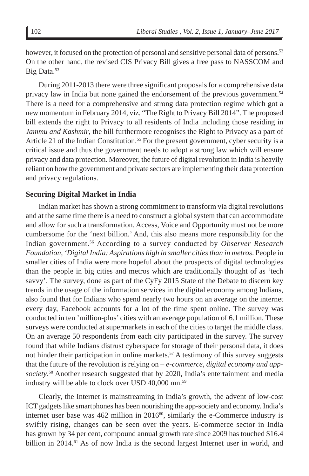however, it focused on the protection of personal and sensitive personal data of persons.<sup>52</sup> On the other hand, the revised CIS Privacy Bill gives a free pass to NASSCOM and Big Data.<sup>53</sup>

During 2011-2013 there were three significant proposals for a comprehensive data privacy law in India but none gained the endorsement of the previous government.54 There is a need for a comprehensive and strong data protection regime which got a new momentum in February 2014, viz. "The Right to Privacy Bill 2014". The proposed bill extends the right to Privacy to all residents of India including those residing in *Jammu and Kashmir*, the bill furthermore recognises the Right to Privacy as a part of Article 21 of the Indian Constitution.<sup>55</sup> For the present government, cyber security is a critical issue and thus the government needs to adopt a strong law which will ensure privacy and data protection. Moreover, the future of digital revolution in India is heavily reliant on how the government and private sectors are implementing their data protection and privacy regulations.

### **Securing Digital Market in India**

Indian market has shown a strong commitment to transform via digital revolutions and at the same time there is a need to construct a global system that can accommodate and allow for such a transformation. Access, Voice and Opportunity must not be more cumbersome for the 'next billion.' And, this also means more responsibility for the Indian government.56 According to a survey conducted by *Observer Research Foundation, 'Digital India: Aspirations high in smaller cities than in metros*. People in smaller cities of India were more hopeful about the prospects of digital technologies than the people in big cities and metros which are traditionally thought of as 'tech savvy'. The survey, done as part of the CyFy 2015 State of the Debate to discern key trends in the usage of the information services in the digital economy among Indians, also found that for Indians who spend nearly two hours on an average on the internet every day, Facebook accounts for a lot of the time spent online. The survey was conducted in ten 'million-plus' cities with an average population of 6.1 million. These surveys were conducted at supermarkets in each of the cities to target the middle class. On an average 50 respondents from each city participated in the survey. The survey found that while Indians distrust cyberspace for storage of their personal data, it does not hinder their participation in online markets.<sup>57</sup> A testimony of this survey suggests that the future of the revolution is relying on – *e-commerce, digital economy and appsociety*. 58 Another research suggested that by 2020, India's entertainment and media industry will be able to clock over USD 40,000 mn.<sup>59</sup>

Clearly, the Internet is mainstreaming in India's growth, the advent of low-cost ICT gadgets like smartphones has been nourishing the app-society and economy. India's internet user base was  $462$  million in  $2016^{60}$ , similarly the e-Commerce industry is swiftly rising, changes can be seen over the years. E-commerce sector in India has grown by 34 per cent, compound annual growth rate since 2009 has touched \$16.4 billion in 2014.<sup>61</sup> As of now India is the second largest Internet user in world, and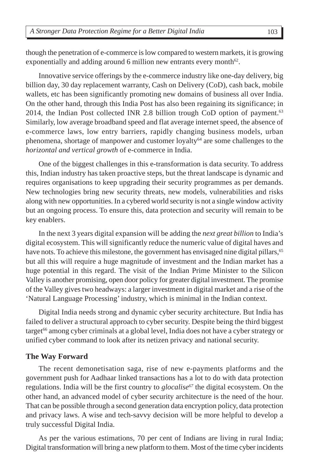though the penetration of e-commerce is low compared to western markets, it is growing exponentially and adding around 6 million new entrants every month<sup>62</sup>.

Innovative service offerings by the e-commerce industry like one-day delivery, big billion day, 30 day replacement warranty, Cash on Delivery (CoD), cash back, mobile wallets, etc has been significantly promoting new domains of business all over India. On the other hand, through this India Post has also been regaining its significance; in 2014, the Indian Post collected INR 2.8 billion trough CoD option of payment.<sup>63</sup> Similarly, low average broadband speed and flat average internet speed, the absence of e-commerce laws, low entry barriers, rapidly changing business models, urban phenomena, shortage of manpower and customer loyalty<sup>64</sup> are some challenges to the *horizontal and vertical growth* of e-commerce in India.

One of the biggest challenges in this e-transformation is data security. To address this, Indian industry has taken proactive steps, but the threat landscape is dynamic and requires organisations to keep upgrading their security programmes as per demands. New technologies bring new security threats, new models, vulnerabilities and risks along with new opportunities. In a cybered world security is not a single window activity but an ongoing process. To ensure this, data protection and security will remain to be key enablers.

In the next 3 years digital expansion will be adding the *next great billion* to India's digital ecosystem. This will significantly reduce the numeric value of digital haves and have nots. To achieve this milestone, the government has envisaged nine digital pillars,<sup>65</sup> but all this will require a huge magnitude of investment and the Indian market has a huge potential in this regard. The visit of the Indian Prime Minister to the Silicon Valley is another promising, open door policy for greater digital investment. The promise of the Valley gives two headways: a larger investment in digital market and a rise of the 'Natural Language Processing' industry, which is minimal in the Indian context.

Digital India needs strong and dynamic cyber security architecture. But India has failed to deliver a structural approach to cyber security. Despite being the third biggest  $target<sup>66</sup>$  among cyber criminals at a global level, India does not have a cyber strategy or unified cyber command to look after its netizen privacy and national security.

#### **The Way Forward**

The recent demonetisation saga, rise of new e-payments platforms and the government push for Aadhaar linked transactions has a lot to do with data protection regulations. India will be the first country to *glocalise*<sup>67</sup> the digital ecosystem. On the other hand, an advanced model of cyber security architecture is the need of the hour. That can be possible through a second generation data encryption policy, data protection and privacy laws. A wise and tech-savvy decision will be more helpful to develop a truly successful Digital India.

As per the various estimations, 70 per cent of Indians are living in rural India; Digital transformation will bring a new platform to them. Most of the time cyber incidents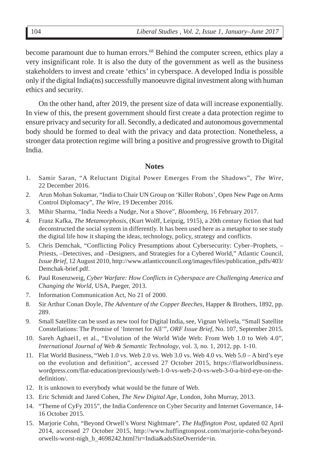become paramount due to human errors.<sup>68</sup> Behind the computer screen, ethics play a very insignificant role. It is also the duty of the government as well as the business stakeholders to invest and create 'ethics' in cyberspace. A developed India is possible only if the digital India(ns) successfully manoeuvre digital investment along with human ethics and security.

On the other hand, after 2019, the present size of data will increase exponentially. In view of this, the present government should first create a data protection regime to ensure privacy and security for all. Secondly, a dedicated and autonomous governmental body should be formed to deal with the privacy and data protection. Nonetheless, a stronger data protection regime will bring a positive and progressive growth to Digital India.

#### **Notes**

- 1. Samir Saran, "A Reluctant Digital Power Emerges From the Shadows", *The Wire,* 22 December 2016.
- 2. Arun Mohan Sukumar, "India to Chair UN Group on 'Killer Robots', Open New Page on Arms Control Diplomacy", *The Wire,* 19 December 2016.
- 3. Mihir Sharma, "India Needs a Nudge, Not a Shove", *Bloomberg*, 16 February 2017.
- 4. Franz Kafka, *The Metamorphosis*, (Kurt Wolff, Leipzig, 1915), a 20th century fiction that had deconstructed the social system in differently. It has been used here as a metaphor to see study the digital life how it shaping the ideas, technology, policy, strategy and conflicts.
- 5. Chris Demchak, "Conflicting Policy Presumptions about Cybersecurity: Cyber–Prophets, Priests, –Detectives, and –Designers, and Strategies for a Cybered World," Atlantic Council, *Issue Brief*, 12 August 2010, http://www.atlanticcouncil.org/images/files/publication\_pdfs/403/ Demchak-brief.pdf.
- 6. Paul Rosenzweig, *Cyber Warfare: How Conflicts in Cyberspace are Challenging America and Changing the World*, USA, Paeger, 2013.
- 7. Information Communication Act, No 21 of 2000.
- 8. Sir Arthur Conan Doyle, *The Adventure of the Copper Beeches*, Happer & Brothers, 1892, pp. 289.
- 9. Small Satellite can be used as new tool for Digital India, see, Vignan Velivela, "Small Satellite Constellations: The Promise of 'Internet for All'", *ORF Issue Brief*, No. 107, September 2015.
- 10. Sareh Aghaei1, et al., "Evolution of the World Wide Web: From Web 1.0 to Web 4.0", *International Journal of Web & Semantic Technology*, vol. 3, no. 1, 2012, pp. 1-10.
- 11. Flat World Business, "Web 1.0 vs. Web 2.0 vs. Web 3.0 vs. Web 4.0 vs. Web 5.0 A bird's eye on the evolution and definition", accessed 27 October 2015, https://flatworldbusiness. wordpress.com/flat-education/previously/web-1-0-vs-web-2-0-vs-web-3-0-a-bird-eye-on-thedefinition/.
- 12. It is unknown to everybody what would be the future of Web.
- 13. Eric Schmidt and Jared Cohen, *The New Digital Age*, London, John Murray, 2013.
- 14. "Theme of CyFy 2015", the India Conference on Cyber Security and Internet Governance, 14- 16 October 2015.
- 15. Marjorie Cohn, "Beyond Orwell's Worst Nightmare", *The Huffington Post*, updated 02 April 2014, accessed 27 October 2015, http://www.huffingtonpost.com/marjorie-cohn/beyondorwells-worst-nigh\_b\_4698242.html?ir=India&adsSiteOverride=in.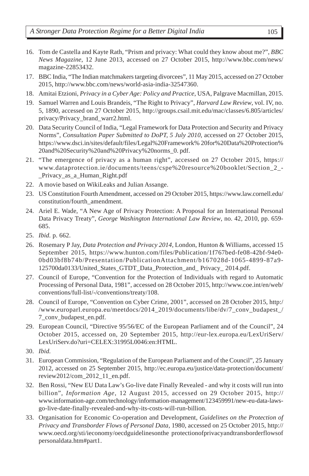- 16. Tom de Castella and Kayte Rath, "Prism and privacy: What could they know about me?", *BBC News Magazine*, 12 June 2013, accessed on 27 October 2015, http://www.bbc.com/news/ magazine-22853432.
- 17. BBC India, "The Indian matchmakers targeting divorcees", 11 May 2015, accessed on 27 October 2015, http://www.bbc.com/news/world-asia-india-32547360.
- 18. Amitai Etzioni, *Privacy in a Cyber Age: Policy and Practice*, USA, Palgrave Macmillan, 2015.
- 19. Samuel Warren and Louis Brandeis, "The Right to Privacy", *Harvard Law Review*, vol. IV, no. 5, 1890, accessed on 27 October 2015, http://groups.csail.mit.edu/mac/classes/6.805/articles/ privacy/Privacy\_brand\_warr2.html.
- 20. Data Security Council of India, "Legal Framework for Data Protection and Security and Privacy Norms", *Consultation Paper Submitted to DoPT, 5 July 2010*, accessed on 27 October 2015, https://www.dsci.in/sites/default/files/Legal%20Framework% 20for%20Data%20Protection% 20and%20Security%20and%20Privacy%20norms\_0. pdf.
- 21. "The emergence of privacy as a human right", accessed on 27 October 2015, https:// www.dataprotection.ie/documents/teens/cspe%20resource%20booklet/Section\_2\_- \_Privacy\_as\_a\_Human\_Right.pdf
- 22. A movie based on WikiLeaks and Julian Assange.
- 23. US Constitution Fourth Amendment, accessed on 29 October 2015, https://www.law.cornell.edu/ constitution/fourth\_amendment.
- 24. Ariel E. Wade, "A New Age of Privacy Protection: A Proposal for an International Personal Data Privacy Treaty", *George Washington International Law Review*, no. 42, 2010, pp. 659- 685.
- 25. *Ibid.* p. 662.
- 26. Rosemary P Jay, *Data Protection and Privacy 2014*, London, Hunton & Williams, accessed 15 September 2015, https://www.hunton.com/files/Publication/1f767bed-fe08-42bf-94e0- 0bd03bf8b74b/Presentation/PublicationAttachment/b167028d-1065-4899-87a9- 125700da0133/United\_States\_GTDT\_Data\_Protection\_and\_ Privacy\_ 2014.pdf.
- 27. Council of Europe, "Convention for the Protection of Individuals with regard to Automatic Processing of Personal Data, 1981", accessed on 28 October 2015, http://www.coe.int/en/web/ conventions/full-list/-/conventions/treaty/108.
- 28. Council of Europe, "Convention on Cyber Crime, 2001", accessed on 28 October 2015, http:/ /www.europarl.europa.eu/meetdocs/2014\_2019/documents/libe/dv/7\_conv\_budapest\_/ 7\_conv\_budapest\_en.pdf.
- 29. European Council, "Directive 95/56/EC of the European Parliament and of the Council", 24 October 2015, accessed on, 20 September 2015, http://eur-lex.europa.eu/LexUriServ/ LexUriServ.do?uri=CELEX:31995L0046:en:HTML.
- 30. *Ibid.*
- 31. European Commission, "Regulation of the European Parliament and of the Council", 25 January 2012, accessed on 25 September 2015, http://ec.europa.eu/justice/data-protection/document/ review2012/com\_2012\_11\_en.pdf.
- 32. Ben Rossi, "New EU Data Law's Go-live date Finally Revealed and why it costs will run into billion", *Information Age*, 12 August 2015, accessed on 29 October 2015, http:// www.information-age.com/technology/information-management/123459991/new-eu-data-lawsgo-live-date-finally-revealed-and-why-its-costs-will-run-billion.
- 33. Organisation for Economic Co-operation and Development, *Guidelines on the Protection of Privacy and Transborder Flows of Personal Data*, 1980, accessed on 25 October 2015, http:// www.oecd.org/sti/ieconomy/oecdguidelinesonthe protectionofprivacyandtransborderflowsof personaldata.htm#part1.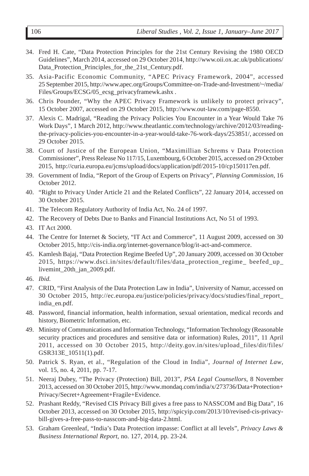- 34. Fred H. Cate, "Data Protection Principles for the 21st Century Revising the 1980 OECD Guidelines", March 2014, accessed on 29 October 2014, http://www.oii.ox.ac.uk/publications/ Data\_Protection\_Principles\_for\_the\_21st\_Century.pdf.
- 35. Asia-Pacific Economic Community, "APEC Privacy Framework, 2004", accessed 25 September 2015, http://www.apec.org/Groups/Committee-on-Trade-and-Investment/~/media/ Files/Groups/ECSG/05\_ecsg\_privacyframewk.ashx .
- 36. Chris Pounder, "Why the APEC Privacy Framework is unlikely to protect privacy", 15 October 2007, accessed on 29 October 2015, http://www.out-law.com/page-8550.
- 37. Alexis C. Madrigal, "Reading the Privacy Policies You Encounter in a Year Would Take 76 Work Days", 1 March 2012, http://www.theatlantic.com/technology/archive/2012/03/readingthe-privacy-policies-you-encounter-in-a-year-would-take-76-work-days/253851/, accessed on 29 October 2015.
- 38. Court of Justice of the European Union, "Maximillian Schrems v Data Protection Commissioner", Press Release No 117/15, Luxembourg, 6 October 2015, accessed on 29 October 2015, http://curia.europa.eu/jcms/upload/docs/application/pdf/2015-10/cp150117en.pdf.
- 39. Government of India, "Report of the Group of Experts on Privacy", *Planning Commission*, 16 October 2012.
- 40. "Right to Privacy Under Article 21 and the Related Conflicts", 22 January 2014, accessed on 30 October 2015.
- 41. The Telecom Regulatory Authority of India Act, No. 24 of 1997.
- 42. The Recovery of Debts Due to Banks and Financial Institutions Act, No 51 of 1993.
- 43. IT Act 2000.
- 44. The Centre for Internet & Society, "IT Act and Commerce", 11 August 2009, accessed on 30 October 2015, http://cis-india.org/internet-governance/blog/it-act-and-commerce.
- 45. Kamlesh Bajaj, "Data Protection Regime Beefed Up", 20 January 2009, accessed on 30 October 2015, https://www.dsci.in/sites/default/files/data\_protection\_regime\_ beefed\_up\_ livemint\_20th\_jan\_2009.pdf.
- 46. *Ibid.*
- 47. CRID, "First Analysis of the Data Protection Law in India", University of Namur, accessed on 30 October 2015, http://ec.europa.eu/justice/policies/privacy/docs/studies/final\_report\_ india\_en.pdf.
- 48. Password, financial information, health information, sexual orientation, medical records and history, Biometric Information, etc.
- 49. Ministry of Communications and Information Technology, "Information Technology (Reasonable security practices and procedures and sensitive data or information) Rules, 2011", 11 April 2011, accessed on 30 October 2015, http://deity.gov.in/sites/upload\_files/dit/files/ GSR313E\_10511(1).pdf.
- 50. Patrick S. Ryan, et al., "Regulation of the Cloud in India", *Journal of Internet Law*, vol. 15, no. 4, 2011, pp. 7-17.
- 51. Neeraj Dubey, "The Privacy (Protection) Bill, 2013", *PSA Legal Counsellors*, 8 November 2013, accessed on 30 October 2015, http://www.mondaq.com/india/x/273736/Data+Protection+ Privacy/Secret+Agreement+Fragile+Evidence.
- 52. Prashant Reddy, "Revised CIS Privacy Bill gives a free pass to NASSCOM and Big Data", 16 October 2013, accessed on 30 October 2015, http://spicyip.com/2013/10/revised-cis-privacybill-gives-a-free-pass-to-nasscom-and-big-data-2.html.
- 53. Graham Greenleaf, "India's Data Protection impasse: Conflict at all levels", *Privacy Laws & Business International Report*, no. 127, 2014, pp. 23-24.